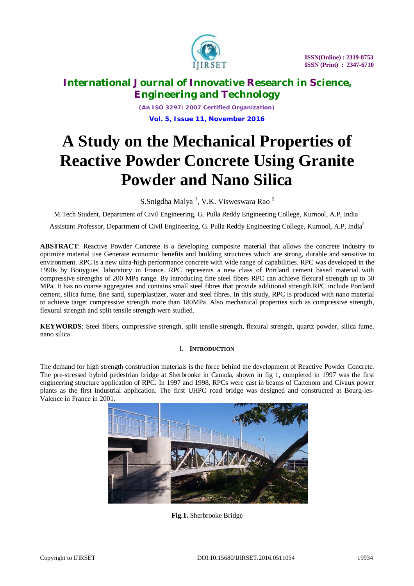

*(An ISO 3297: 2007 Certified Organization)* **Vol. 5, Issue 11, November 2016**

# **A Study on the Mechanical Properties of Reactive Powder Concrete Using Granite Powder and Nano Silica**

S.Snigdha Malya<sup>1</sup>, V.K. Visweswara Rao<sup>2</sup>

M.Tech Student, Department of Civil Engineering, G. Pulla Reddy Engineering College, Kurnool, A.P, India<sup>1</sup>

Assistant Professor, Department of Civil Engineering, G. Pulla Reddy Engineering College, Kurnool, A.P, India<sup>2</sup>

**ABSTRACT**: Reactive Powder Concrete is a developing composite material that allows the concrete industry to optimize material use Generate economic benefits and building structures which are strong, durable and sensitive to environment. RPC is a new ultra-high performance concrete with wide range of capabilities. RPC was developed in the 1990s by Bouygues' laboratory in France. RPC represents a new class of Portland cement based material with compressive strengths of 200 MPa range. By introducing fine steel fibers RPC can achieve flexural strength up to 50 MPa. It has no coarse aggregates and contains small steel fibres that provide additional strength.RPC include Portland cement, silica fume, fine sand, superplastizer, water and steel fibres. In this study, RPC is produced with nano material to achieve target compressive strength more than 180MPa. Also mechanical properties such as compressive strength, flexural strength and split tensile strength were studied.

**KEYWORDS**: Steel fibers, compressive strength, split tensile strength, flexural strength, quartz powder, silica fume, nano silica

### I. **INTRODUCTION**

The demand for high strength construction materials is the force behind the development of Reactive Powder Concrete. The pre-stressed hybrid pedestrian bridge at Sherbrooke in Canada, shown in fig 1, completed in 1997 was the first engineering structure application of RPC. In 1997 and 1998, RPCs were cast in beams of Cattenom and Civaux power plants as the first industrial application. The first UHPC road bridge was designed and constructed at Bourg-les-Valence in France in 2001.



**Fig.1.** Sherbrooke Bridge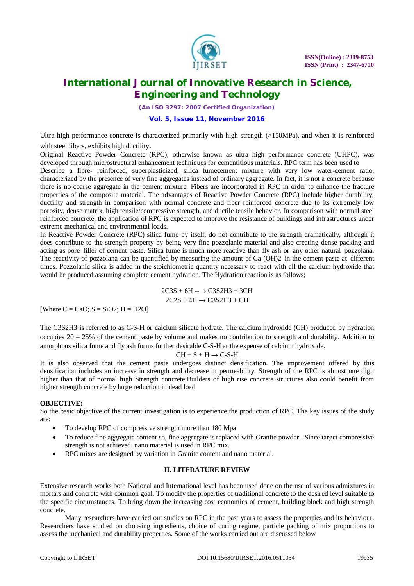

*(An ISO 3297: 2007 Certified Organization)*

### **Vol. 5, Issue 11, November 2016**

Ultra high performance concrete is characterized primarily with high strength (>150MPa), and when it is reinforced with steel fibers, exhibits high ductility.

Original Reactive Powder Concrete (RPC), otherwise known as ultra high performance concrete (UHPC), was developed through microstructural enhancement techniques for cementitious materials. RPC term has been used to

Describe a fibre- reinforced, superplasticized, silica fumecement mixture with very low water-cement ratio, characterized by the presence of very fine aggregates instead of ordinary aggregate. In fact, it is not a concrete because there is no coarse aggregate in the cement mixture. Fibers are incorporated in RPC in order to enhance the fracture properties of the composite material. The advantages of Reactive Powder Concrete (RPC) include higher durability, ductility and strength in comparison with normal concrete and fiber reinforced concrete due to its extremely low porosity, dense matrix, high tensile/compressive strength, and ductile tensile behavior. In comparison with normal steel reinforced concrete, the application of RPC is expected to improve the resistance of buildings and infrastructures under extreme mechanical and environmental loads.

In Reactive Powder Concrete (RPC) silica fume by itself, do not contribute to the strength dramatically, although it does contribute to the strength property by being very fine pozzolanic material and also creating dense packing and acting as pore filler of cement paste. Silica fume is much more reactive than fly ash or any other natural pozzolana. The reactivity of pozzolana can be quantified by measuring the amount of Ca (OH)2 in the cement paste at different times. Pozzolanic silica is added in the stoichiometric quantity necessary to react with all the calcium hydroxide that would be produced assuming complete cement hydration. The Hydration reaction is as follows;

> 2C3S + 6H **--→** C3S2H3 + 3CH 2C2S + 4H **→** C3S2H3 + CH

[Where  $C = CaO$ ;  $S = SiO2$ ;  $H = H2O$ ]

The C3S2H3 is referred to as C-S-H or calcium silicate hydrate. The calcium hydroxide (CH) produced by hydration occupies  $20 - 25%$  of the cement paste by volume and makes no contribution to strength and durability. Addition to amorphous silica fume and fly ash forms further desirable C-S-H at the expense of calcium hydroxide.

$$
CH+S+H\longrightarrow C\text{-}S\text{-}H
$$

It is also observed that the cement paste undergoes distinct densification. The improvement offered by this densification includes an increase in strength and decrease in permeability. Strength of the RPC is almost one digit higher than that of normal high Strength concrete.Builders of high rise concrete structures also could benefit from higher strength concrete by large reduction in dead load

### **OBJECTIVE:**

So the basic objective of the current investigation is to experience the production of RPC. The key issues of the study are:

- To develop RPC of compressive strength more than 180 Mpa
- To reduce fine aggregate content so, fine aggregate is replaced with Granite powder. Since target compressive strength is not achieved, nano material is used in RPC mix.
- RPC mixes are designed by variation in Granite content and nano material.

### **II. LITERATURE REVIEW**

Extensive research works both National and International level has been used done on the use of various admixtures in mortars and concrete with common goal. To modify the properties of traditional concrete to the desired level suitable to the specific circumstances. To bring down the increasing cost economics of cement, building block and high strength concrete.

Many researchers have carried out studies on RPC in the past years to assess the properties and its behaviour. Researchers have studied on choosing ingredients, choice of curing regime, particle packing of mix proportions to assess the mechanical and durability properties. Some of the works carried out are discussed below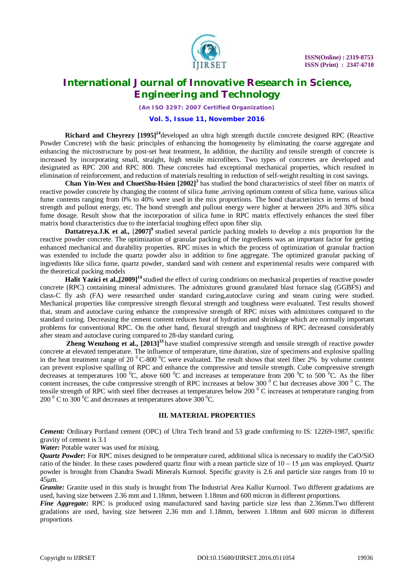

*(An ISO 3297: 2007 Certified Organization)*

### **Vol. 5, Issue 11, November 2016**

**Richard and Cheyrezy [1995]<sup>24</sup>**developed an ultra high strength ductile concrete designed RPC (Reactive Powder Concrete) with the basic principles of enhancing the homogeneity by eliminating the coarse aggregate and enhancing the microstructure by post-set heat treatment, In addition, the ductility and tensile strength of concrete is increased by incorporating small, straight, high tensile microfibers. Two types of concretes are developed and designated as RPC 200 and RPC 800. These concretes had exceptional mechanical properties, which resulted in elimination of reinforcement, and reduction of materials resulting in reduction of self-weight resulting in cost savings.

**Chan Yin-Wen and ChuetShu-Hsien [2002]<sup>3</sup>** has studied the bond characteristics of steel fiber on matrix of reactive powder concrete by changing the content of silica fume ,arriving optimum content of silica fume, various silica fume contents ranging from 0% to 40% were used in the mix proportions. The bond characteristics in terms of bond strength and pullout energy, etc. The bond strength and pullout energy were higher at between 20% and 30% silica fume dosage. Result show that the incorporation of silica fume in RPC matrix effectively enhances the steel fiber matrix bond characteristics due to the interfacial toughing effect upon fiber slip.

**Dattatreya.J.K et al., [2007]<sup>9</sup>** studied several particle packing models to develop a mix proportion for the reactive powder concrete. The optimization of granular packing of the ingredients was an important factor for getting enhanced mechanical and durability properties. RPC mixes in which the process of optimization of granular fraction was extended to include the quartz powder also in addition to fine aggregate. The optimized granular packing of ingredients like silica fume, quartz powder, standard sand with cement and experimental results were compared with the theoretical packing models

**Halit Yazici et al.,[2009]<sup>14</sup>**studied the effect of curing conditions on mechanical properties of reactive powder concrete (RPC) containing mineral admixtures. The admixtures ground granulated blast furnace slag (GGBFS) and class-C fly ash (FA) were researched under standard curing,autoclave curing and steam curing were studied. Mechanical properties like compressive strength flexural strength and toughness were evaluated. Test results showed that, steam and autoclave curing enhance the compressive strength of RPC mixes with admixtures compared to the standard curing. Decreasing the cement content reduces heat of hydration and shrinkage which are normally important problems for conventional RPC. On the other hand, flexural strength and toughness of RPC decreased considerably after steam and autoclave curing compared to 28-day standard curing.

**Zheng Wenzhong et al., [2013]<sup>33</sup>** have studied compressive strength and tensile strength of reactive powder concrete at elevated temperature. The influence of temperature, time duration, size of specimens and explosive spalling in the heat treatment range of 20  $\mathrm{^0C}$ -800  $\mathrm{^0C}$  were evaluated. The result shows that steel fiber 2% by volume content can prevent explosive spalling of RPC and enhance the compressive and tensile strength. Cube compressive strength decreases at temperatures 100  $^{0}C$ , above 600  $^{0}C$  and increases at temperature from 200  $^{0}C$  to 500  $^{0}C$ . As the fiber content increases, the cube compressive strength of RPC increases at below 300 $^{\circ}$ C but decreases above 300 $^{\circ}$ C. The tensile strength of RPC with steel fiber decreases at temperatures below 200 $^{\circ}$ C increases at temperature ranging from 200  $\mathrm{^0C}$  to 300  $\mathrm{^0C}$  and decreases at temperatures above 300  $\mathrm{^0C}$ .

### **III. MATERIAL PROPERTIES**

*Cement:* Ordinary Portland cement (OPC) of Ultra Tech brand and 53 grade confirming to IS: 12269-1987, specific gravity of cement is 3.1

*Water:* Potable water was used for mixing.

*Quartz Powder:* For RPC mixes designed to be temperature cured, additional silica is necessary to modify the CaO/SiO ratio of the binder. In these cases powdered quartz flour with a mean particle size of  $10 - 15$  µm was employed. Quartz powder is brought from Chandra Swadi Minerals Kurnool. Specific gravity is 2.6 and particle size ranges from 10 to 45μm.

*Granite:* Granite used in this study is brought from The Industrial Area Kallur Kurnool. Two different gradations are used, having size between 2.36 mm and 1.18mm, between 1.18mm and 600 micron in different proportions.

*Fine Aggregate:* RPC is produced using manufactured sand having particle size less than 2.36mm.Two different gradations are used, having size between 2.36 mm and 1.18mm, between 1.18mm and 600 micron in different proportions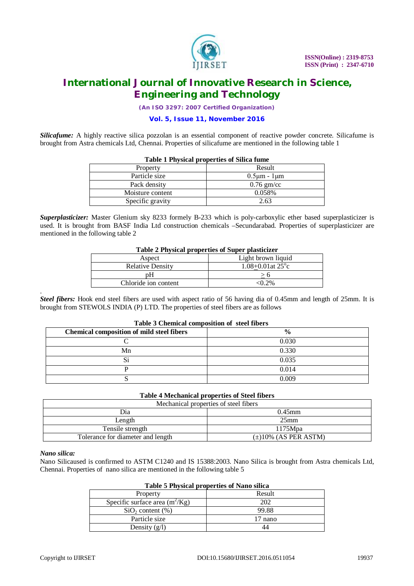

*(An ISO 3297: 2007 Certified Organization)*

### **Vol. 5, Issue 11, November 2016**

*Silicafume:* A highly reactive silica pozzolan is an essential component of reactive powder concrete. Silicafume is brought from Astra chemicals Ltd, Chennai. Properties of silicafume are mentioned in the following table 1

| Table I Flivsical properties of Silica fullie |                       |  |  |  |  |
|-----------------------------------------------|-----------------------|--|--|--|--|
| Property                                      | Result                |  |  |  |  |
| Particle size                                 | $0.5 \mu m - 1 \mu m$ |  |  |  |  |
| Pack density                                  | $0.76$ gm/cc          |  |  |  |  |
| Moisture content                              | 0.058%                |  |  |  |  |
| Specific gravity                              | 2.63                  |  |  |  |  |

### **Table 1 Physical properties of Silica fume**

*Superplasticizer:* Master Glenium sky 8233 formely B-233 which is poly-carboxylic ether based superplasticizer is used. It is brought from BASF India Ltd construction chemicals –Secundarabad. Properties of superplasticizer are mentioned in the following table 2

| Table 2 I hysical properties of Super plasticizer |                                 |  |  |  |
|---------------------------------------------------|---------------------------------|--|--|--|
| Aspect                                            | Light brown liquid              |  |  |  |
| <b>Relative Density</b>                           | $1.08 + 0.01$ at $25^{\circ}$ c |  |  |  |
|                                                   |                                 |  |  |  |
| Chloride ion content                              | $-0.2\%$                        |  |  |  |

### **Table 2 Physical properties of Super plasticizer**

*Steel fibers:* Hook end steel fibers are used with aspect ratio of 56 having dia of 0.45mm and length of 25mm. It is brought from STEWOLS INDIA (P) LTD. The properties of steel fibers are as follows

| <b>Chemical composition of mild steel fibers</b> | $\frac{0}{0}$ |
|--------------------------------------------------|---------------|
|                                                  | 0.030         |
| Mn                                               | 0.330         |
| C.<br>لات                                        | 0.035         |
|                                                  | 0.014         |
|                                                  | 0.009         |

### **Table 3 Chemical composition of steel fibers**

### **Table 4 Mechanical properties of Steel fibers**

| Mechanical properties of steel fibers |                           |  |  |  |  |
|---------------------------------------|---------------------------|--|--|--|--|
| Dia                                   | $0.45$ mm                 |  |  |  |  |
| Length                                | $25$ mm                   |  |  |  |  |
| Tensile strength                      | 1175Mpa                   |  |  |  |  |
| Tolerance for diameter and length     | $(\pm)10\%$ (AS PER ASTM) |  |  |  |  |

### *Nano silica:*

.

Nano Silicaused is confirmed to ASTM C1240 and IS 15388:2003. Nano Silica is brought from Astra chemicals Ltd, Chennai. Properties of nano silica are mentioned in the following table 5

| Table 5 Physical properties of Nano silica |  |  |  |  |  |  |  |
|--------------------------------------------|--|--|--|--|--|--|--|
|--------------------------------------------|--|--|--|--|--|--|--|

| Property                         | Result  |
|----------------------------------|---------|
| Specific surface area $(m^2/Kg)$ | 202     |
| $SiO2$ content $(\%)$            | 99.88   |
| Particle size                    | 17 nano |
| Density $(g/l)$                  |         |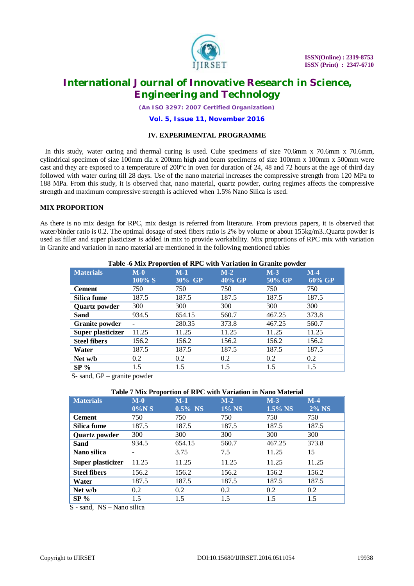

*(An ISO 3297: 2007 Certified Organization)*

### **Vol. 5, Issue 11, November 2016**

### **IV. EXPERIMENTAL PROGRAMME**

 In this study, water curing and thermal curing is used. Cube specimens of size 70.6mm x 70.6mm x 70.6mm, cylindrical specimen of size 100mm dia x 200mm high and beam specimens of size 100mm x 100mm x 500mm were cast and they are exposed to a temperature of  $200^{\circ}$ c in oven for duration of 24, 48 and 72 hours at the age of third day followed with water curing till 28 days. Use of the nano material increases the compressive strength from 120 MPa to 188 MPa. From this study, it is observed that, nano material, quartz powder, curing regimes affects the compressive strength and maximum compressive strength is achieved when 1.5% Nano Silica is used.

### **MIX PROPORTION**

As there is no mix design for RPC, mix design is referred from literature. From previous papers, it is observed that water/binder ratio is 0.2. The optimal dosage of steel fibers ratio is 2% by volume or about 155kg/m3..Quartz powder is used as filler and super plasticizer is added in mix to provide workability. Mix proportions of RPC mix with variation in Granite and variation in nano material are mentioned in the following mentioned tables

| <b>TADIC -0 IVILY I</b> TOPOLITON OF KEY WILLEV ATTAINED THE CHANNEL |        |        |        |        |        |  |
|----------------------------------------------------------------------|--------|--------|--------|--------|--------|--|
| <b>Materials</b>                                                     | $M-0$  | $M-1$  | $M-2$  | $M-3$  | $M-4$  |  |
|                                                                      | 100% S | 30% GP | 40% GP | 50% GP | 60% GP |  |
| <b>Cement</b>                                                        | 750    | 750    | 750    | 750    | 750    |  |
| Silica fume                                                          | 187.5  | 187.5  | 187.5  | 187.5  | 187.5  |  |
| <b>Quartz powder</b>                                                 | 300    | 300    | 300    | 300    | 300    |  |
| Sand                                                                 | 934.5  | 654.15 | 560.7  | 467.25 | 373.8  |  |
| <b>Granite powder</b>                                                |        | 280.35 | 373.8  | 467.25 | 560.7  |  |
| Super plasticizer                                                    | 11.25  | 11.25  | 11.25  | 11.25  | 11.25  |  |
| <b>Steel fibers</b>                                                  | 156.2  | 156.2  | 156.2  | 156.2  | 156.2  |  |
| Water                                                                | 187.5  | 187.5  | 187.5  | 187.5  | 187.5  |  |
| Net w/b                                                              | 0.2    | 0.2    | 0.2    | 0.2    | 0.2    |  |
| $SP\%$                                                               | 1.5    | 1.5    | 1.5    | 1.5    | 1.5    |  |

#### **Table -6 Mix Proportion of RPC with Variation in Granite powder**

S- sand, GP – granite powder

#### **Table 7 Mix Proportion of RPC with Variation in Nano Material**

| <b>Materials</b>    | $M-0$    | $M-1$      | $M-2$ | $M-3$      | $M-4$        |
|---------------------|----------|------------|-------|------------|--------------|
|                     | $0\%$ NS | $0.5\%$ NS | 1% NS | $1.5\%$ NS | <b>2% NS</b> |
| <b>Cement</b>       | 750      | 750        | 750   | 750        | 750          |
| Silica fume         | 187.5    | 187.5      | 187.5 | 187.5      | 187.5        |
| Quartz powder       | 300      | 300        | 300   | 300        | 300          |
| <b>Sand</b>         | 934.5    | 654.15     | 560.7 | 467.25     | 373.8        |
| Nano silica         |          | 3.75       | 7.5   | 11.25      | 15           |
| Super plasticizer   | 11.25    | 11.25      | 11.25 | 11.25      | 11.25        |
| <b>Steel fibers</b> | 156.2    | 156.2      | 156.2 | 156.2      | 156.2        |
| Water               | 187.5    | 187.5      | 187.5 | 187.5      | 187.5        |
| Net w/b             | 0.2      | 0.2        | 0.2   | 0.2        | 0.2          |
| $SP\%$              | 1.5      | 1.5        | 1.5   | 1.5        | 1.5          |

S - sand, NS – Nano silica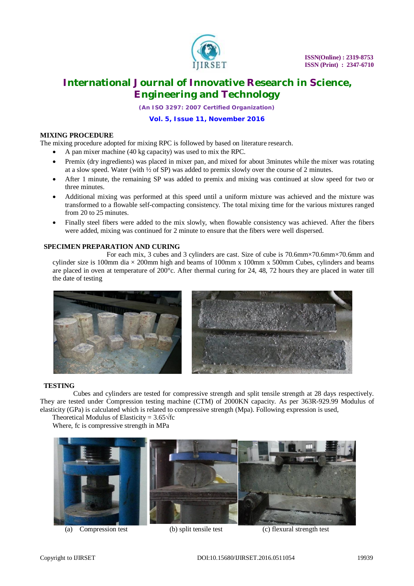

*(An ISO 3297: 2007 Certified Organization)*

### **Vol. 5, Issue 11, November 2016**

### **MIXING PROCEDURE**

The mixing procedure adopted for mixing RPC is followed by based on literature research.

- A pan mixer machine (40 kg capacity) was used to mix the RPC.
- Premix (dry ingredients) was placed in mixer pan, and mixed for about 3minutes while the mixer was rotating at a slow speed. Water (with  $\frac{1}{2}$  of SP) was added to premix slowly over the course of 2 minutes.
- After 1 minute, the remaining SP was added to premix and mixing was continued at slow speed for two or three minutes.
- Additional mixing was performed at this speed until a uniform mixture was achieved and the mixture was transformed to a flowable self-compacting consistency. The total mixing time for the various mixtures ranged from 20 to 25 minutes.
- Finally steel fibers were added to the mix slowly, when flowable consistency was achieved. After the fibers were added, mixing was continued for 2 minute to ensure that the fibers were well dispersed.

### **SPECIMEN PREPARATION AND CURING**

 For each mix, 3 cubes and 3 cylinders are cast. Size of cube is 70.6mm×70.6mm×70.6mm and cylinder size is 100mm dia  $\times$  200mm high and beams of 100mm x 100mm x 500mm Cubes, cylinders and beams are placed in oven at temperature of 200°c. After thermal curing for 24, 48, 72 hours they are placed in water till the date of testing



#### **TESTING**

 Cubes and cylinders are tested for compressive strength and split tensile strength at 28 days respectively. They are tested under Compression testing machine (CTM) of 2000KN capacity. As per 363R-929.99 Modulus of elasticity (GPa) is calculated which is related to compressive strength (Mpa). Following expression is used,

Theoretical Modulus of Elasticity =  $3.65\sqrt{f}c$ 

Where, fc is compressive strength in MPa



(a) Compression test (b) split tensile test (c) flexural strength test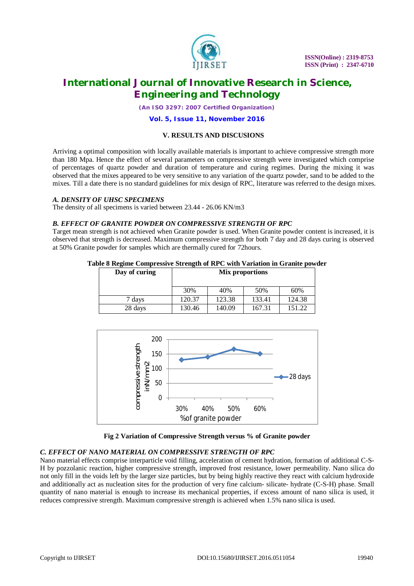

*(An ISO 3297: 2007 Certified Organization)*

### **Vol. 5, Issue 11, November 2016**

### **V. RESULTS AND DISCUSIONS**

Arriving a optimal composition with locally available materials is important to achieve compressive strength more than 180 Mpa. Hence the effect of several parameters on compressive strength were investigated which comprise of percentages of quartz powder and duration of temperature and curing regimes. During the mixing it was observed that the mixes appeared to be very sensitive to any variation of the quartz powder, sand to be added to the mixes. Till a date there is no standard guidelines for mix design of RPC, literature was referred to the design mixes.

### *A. DENSITY OF UHSC SPECIMENS*

The density of all specimens is varied between 23.44 - 26.06 KN/m3

### *B. EFFECT OF GRANITE POWDER ON COMPRESSIVE STRENGTH OF RPC*

Target mean strength is not achieved when Granite powder is used. When Granite powder content is increased, it is observed that strength is decreased. Maximum compressive strength for both 7 day and 28 days curing is observed at 50% Granite powder for samples which are thermally cured for 72hours.

# **Day of curing Mix proportions** 30% 40% 50% 60% 7 days 120.37 123.38 133.41 124.38 28 days 130.46 140.09 167.31 151.22



**Table 8 Regime Compressive Strength of RPC with Variation in Granite powder**



#### **Fig 2 Variation of Compressive Strength versus % of Granite powder**

#### *C. EFFECT OF NANO MATERIAL ON COMPRESSIVE STRENGTH OF RPC*

Nano material effects comprise interparticle void filling, acceleration of cement hydration, formation of additional C-S-H by pozzolanic reaction, higher compressive strength, improved frost resistance, lower permeability. Nano silica do not only fill in the voids left by the larger size particles, but by being highly reactive they react with calcium hydroxide and additionally act as nucleation sites for the production of very fine calcium- silicate- hydrate (C-S-H) phase. Small quantity of nano material is enough to increase its mechanical properties, if excess amount of nano silica is used, it reduces compressive strength. Maximum compressive strength is achieved when 1.5% nano silica is used.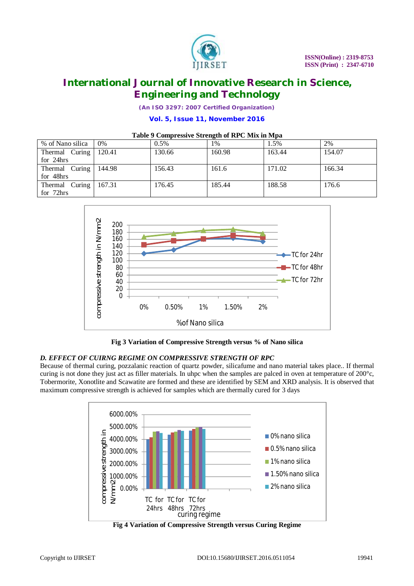

*(An ISO 3297: 2007 Certified Organization)*

### **Vol. 5, Issue 11, November 2016**

### **Table 9 Compressive Strength of RPC Mix in Mpa**

| Tuble > Completence building the or the country in the pu |        |         |        |        |        |  |
|-----------------------------------------------------------|--------|---------|--------|--------|--------|--|
| % of Nano silica                                          | $0\%$  | $0.5\%$ | 1%     | 1.5%   | 2%     |  |
| Thermal Curing 120.41                                     |        | 130.66  | 160.98 | 163.44 | 154.07 |  |
| for 24hrs                                                 |        |         |        |        |        |  |
| Thermal Curing                                            | 144.98 | 156.43  | 161.6  | 171.02 | 166.34 |  |
| for 48hrs                                                 |        |         |        |        |        |  |
| Thermal Curing                                            | 167.31 | 176.45  | 185.44 | 188.58 | 176.6  |  |
| for 72hrs                                                 |        |         |        |        |        |  |



**Fig 3 Variation of Compressive Strength versus % of Nano silica**

### *D. EFFECT OF CUIRNG REGIME ON COMPRESSIVE STRENGTH OF RPC*

Because of thermal curing, pozzalanic reaction of quartz powder, silicafume and nano material takes place.. If thermal curing is not done they just act as filler materials. In uhpc when the samples are palced in oven at temperature of 200°c, Tobermorite, Xonotlite and Scawatite are formed and these are identified by SEM and XRD analysis. It is observed that maximum compressive strength is achieved for samples which are thermally cured for 3 days



**Fig 4 Variation of Compressive Strength versus Curing Regime**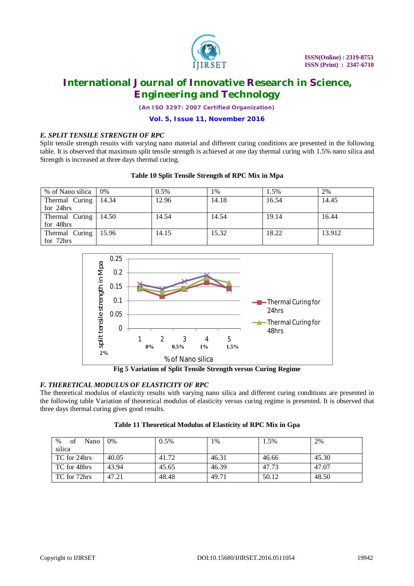

*(An ISO 3297: 2007 Certified Organization)*

### **Vol. 5, Issue 11, November 2016**

### *E. SPLIT TENSILE STRENGTH OF RPC*

Split tensile strength resuits with varying nano material and different curing conditions are presented in the following table. It is observed that maximum split tensile strength is achieved at one day thermal curing with 1.5% nano silica and Strength is increased at three days thermal curing.

### **Table 10 Split Tensile Strength of RPC Mix in Mpa**

| % of Nano silica       | 0%    | $0.5\%$ | 1%    | 1.5%  | 2%     |
|------------------------|-------|---------|-------|-------|--------|
| Thermal Curing         | 14.34 | 12.96   | 14.18 | 16.54 | 14.45  |
| for 24hrs              |       |         |       |       |        |
| Thermal Curing         | 14.50 | 14.54   | 14.54 | 19.14 | 16.44  |
| for 48hrs              |       |         |       |       |        |
| Thermal Curing   15.96 |       | 14.15   | 15.32 | 18.22 | 13.912 |
| for 72hrs              |       |         |       |       |        |



**Fig 5 Variation of Split Tensile Strength versus Curing Regime**

### *F. THERETICAL MODULUS OF ELASTICITY OF RPC*

The theoretical modulus of elasticity results with varying nano silica and different curing conditions are presented in the following table Variation of theoretical modulus of elasticity versus curing regime is presented. It is observed that three days thermal curing gives good results.

| $\%$<br>of<br>Nano | $0\%$ | $0.5\%$ | 1%    | 1.5%  | 2%    |
|--------------------|-------|---------|-------|-------|-------|
| silica             |       |         |       |       |       |
| TC for 24hrs       | 40.05 | 41.72   | 46.31 | 46.66 | 45.30 |
| TC for 48hrs       | 43.94 | 45.65   | 46.39 | 47.73 | 47.07 |
| TC for 72hrs       | 47.21 | 48.48   | 49.71 | 50.12 | 48.50 |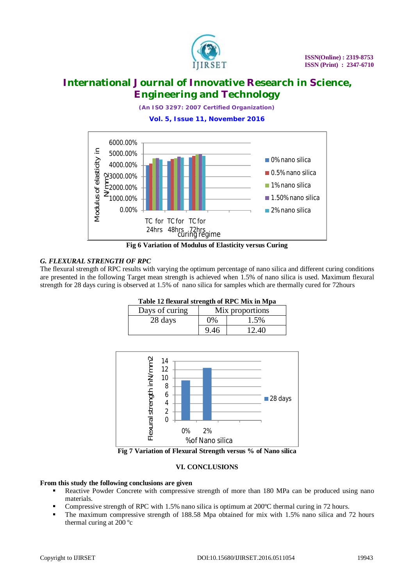

*(An ISO 3297: 2007 Certified Organization)*

**Vol. 5, Issue 11, November 2016**



**Fig 6 Variation of Modulus of Elasticity versus Curing**

### *G. FLEXURAL STRENGTH OF RPC*

The flexural strength of RPC results with varying the optimum percentage of nano silica and different curing conditions are presented in the following Target mean strength is achieved when 1.5% of nano silica is used. Maximum flexural strength for 28 days curing is observed at 1.5% of nano silica for samples which are thermally cured for 72hours

| Table 12 flexural strength of RPC Mix in Mpa |                 |       |
|----------------------------------------------|-----------------|-------|
| Days of curing                               | Mix proportions |       |
| 28 days                                      | $0\%$           | 1.5%  |
|                                              | 9.46            | 12.40 |



**Fig 7 Variation of Flexural Strength versus % of Nano silica**

### **VI. CONCLUSIONS**

### **From this study the following conclusions are given**

- Reactive Powder Concrete with compressive strength of more than 180 MPa can be produced using nano materials.
- Compressive strength of RPC with 1.5% nano silica is optimum at 200ºC thermal curing in 72 hours.
- The maximum compressive strength of 188.58 Mpa obtained for mix with 1.5% nano silica and 72 hours thermal curing at 200 ºc